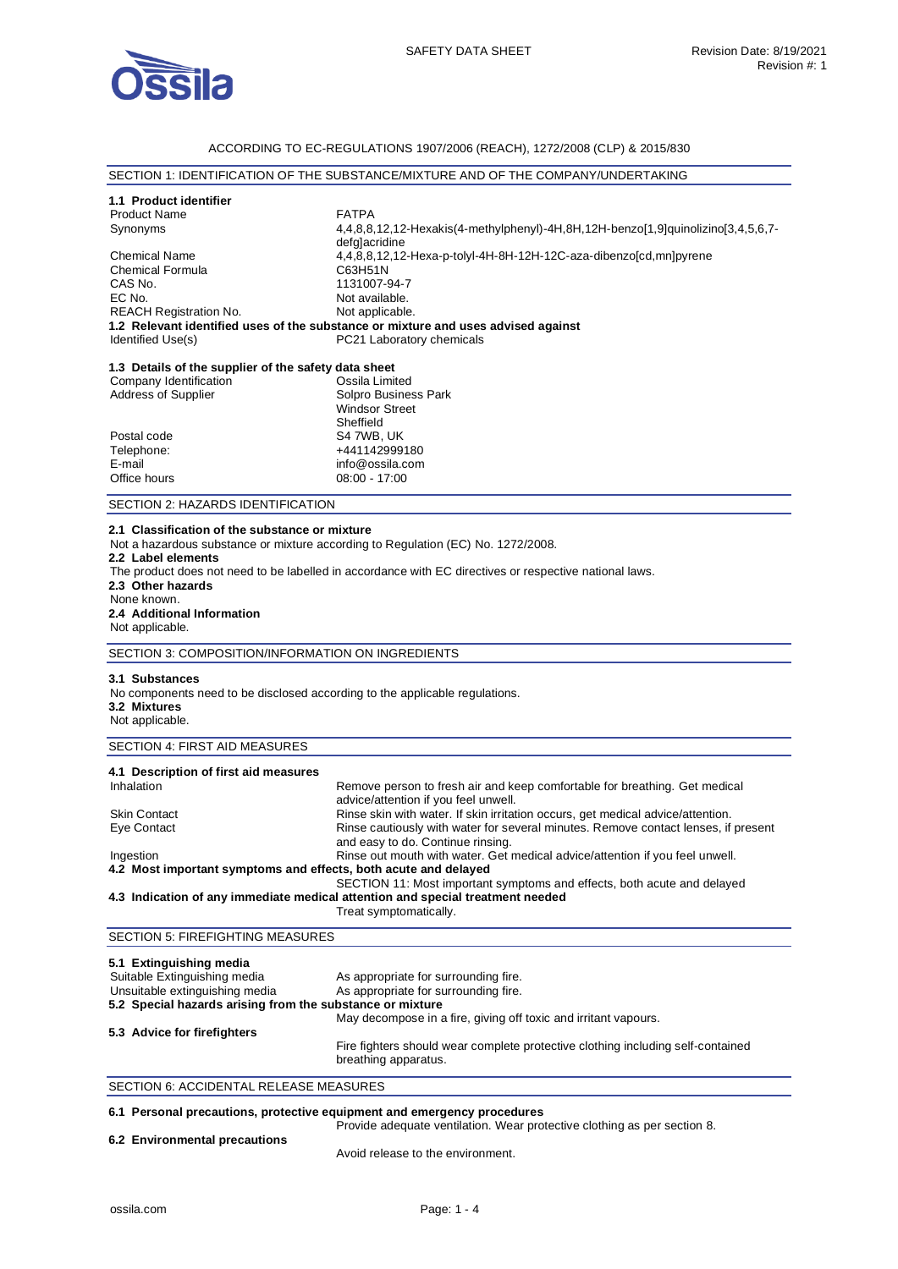

## ACCORDING TO EC-REGULATIONS 1907/2006 (REACH), 1272/2008 (CLP) & 2015/830

## SECTION 1: IDENTIFICATION OF THE SUBSTANCE/MIXTURE AND OF THE COMPANY/UNDERTAKING

# **1.1 Product identifier**

Product Name FATPA Synonyms 4,4,8,8,12,12-Hexakis(4-methylphenyl)-4H,8H,12H-benzo[1,9]quinolizino[3,4,5,6,7 defg]acridine Chemical Name 4,4,8,8,12,12-Hexa-p-tolyl-4H-8H-12H-12C-aza-dibenzo[cd,mn]pyrene Chemical Formula<br>CAS No. CAS No. 1131007-94-7<br>EC No. 1131007-94-7 Not available. REACH Registration No. Not applicable. **1.2 Relevant identified uses of the substance or mixture and uses advised against**  PC21 Laboratory chemicals **1.3 Details of the supplier of the safety data sheet**

| Company Identification     | Ossila Limited        |
|----------------------------|-----------------------|
| <b>Address of Supplier</b> | Solpro Business Park  |
|                            | <b>Windsor Street</b> |
|                            | Sheffield             |
| Postal code                | S4 7WB, UK            |
| Telephone:                 | +441142999180         |
| E-mail                     | info@ossila.com       |
| Office hours               | $08:00 - 17:00$       |
|                            |                       |

SECTION 2: HAZARDS IDENTIFICATION

## **2.1 Classification of the substance or mixture**

Not a hazardous substance or mixture according to Regulation (EC) No. 1272/2008.

#### **2.2 Label elements**

The product does not need to be labelled in accordance with EC directives or respective national laws. **2.3 Other hazards**  None known. **2.4 Additional Information** 

# Not applicable.

SECTION 3: COMPOSITION/INFORMATION ON INGREDIENTS

#### **3.1 Substances**

No components need to be disclosed according to the applicable regulations. **3.2 Mixtures**  Not applicable.

## SECTION 4: FIRST AID MEASURES

| 4.1 Description of first aid measures                                          |                                                                                                                         |
|--------------------------------------------------------------------------------|-------------------------------------------------------------------------------------------------------------------------|
| Inhalation                                                                     | Remove person to fresh air and keep comfortable for breathing. Get medical<br>advice/attention if you feel unwell.      |
| <b>Skin Contact</b>                                                            | Rinse skin with water. If skin irritation occurs, get medical advice/attention.                                         |
| Eye Contact                                                                    | Rinse cautiously with water for several minutes. Remove contact lenses, if present<br>and easy to do. Continue rinsing. |
| Ingestion                                                                      | Rinse out mouth with water. Get medical advice/attention if you feel unwell.                                            |
| 4.2 Most important symptoms and effects, both acute and delayed                |                                                                                                                         |
|                                                                                | SECTION 11: Most important symptoms and effects, both acute and delayed                                                 |
| 4.3 Indication of any immediate medical attention and special treatment needed |                                                                                                                         |

#### Treat symptomatically.

## SECTION 5: FIREFIGHTING MEASURES

| 5.1 Extinguishing media                                   |                                                                                                         |
|-----------------------------------------------------------|---------------------------------------------------------------------------------------------------------|
| Suitable Extinguishing media                              | As appropriate for surrounding fire.                                                                    |
| Unsuitable extinguishing media                            | As appropriate for surrounding fire.                                                                    |
| 5.2 Special hazards arising from the substance or mixture |                                                                                                         |
|                                                           | May decompose in a fire, giving off toxic and irritant vapours.                                         |
| 5.3 Advice for firefighters                               |                                                                                                         |
|                                                           | Fire fighters should wear complete protective clothing including self-contained<br>breathing apparatus. |

# SECTION 6: ACCIDENTAL RELEASE MEASURES

## **6.1 Personal precautions, protective equipment and emergency procedures**

Provide adequate ventilation. Wear protective clothing as per section 8.

## **6.2 Environmental precautions**

Avoid release to the environment.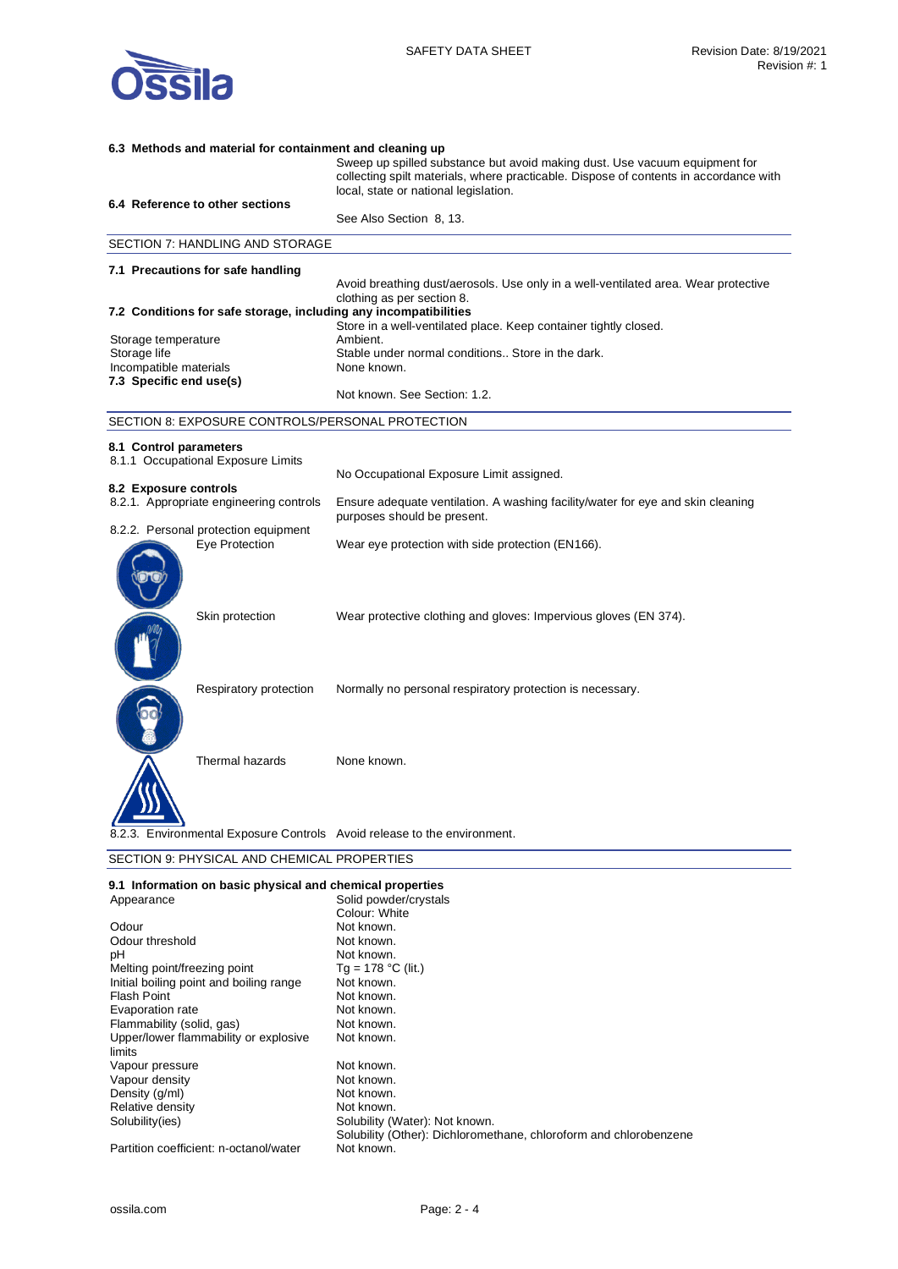

| 6.3 Methods and material for containment and cleaning up  |                                                                  |                                                                                                                                                                                                              |
|-----------------------------------------------------------|------------------------------------------------------------------|--------------------------------------------------------------------------------------------------------------------------------------------------------------------------------------------------------------|
|                                                           |                                                                  | Sweep up spilled substance but avoid making dust. Use vacuum equipment for<br>collecting spilt materials, where practicable. Dispose of contents in accordance with<br>local, state or national legislation. |
|                                                           | 6.4 Reference to other sections                                  | See Also Section 8, 13.                                                                                                                                                                                      |
|                                                           |                                                                  |                                                                                                                                                                                                              |
|                                                           | SECTION 7: HANDLING AND STORAGE                                  |                                                                                                                                                                                                              |
|                                                           | 7.1 Precautions for safe handling                                |                                                                                                                                                                                                              |
|                                                           |                                                                  | Avoid breathing dust/aerosols. Use only in a well-ventilated area. Wear protective<br>clothing as per section 8.                                                                                             |
|                                                           | 7.2 Conditions for safe storage, including any incompatibilities |                                                                                                                                                                                                              |
|                                                           |                                                                  | Store in a well-ventilated place. Keep container tightly closed.                                                                                                                                             |
| Storage temperature                                       |                                                                  | Ambient.                                                                                                                                                                                                     |
| Storage life<br>Incompatible materials                    |                                                                  | Stable under normal conditions Store in the dark.<br>None known.                                                                                                                                             |
| 7.3 Specific end use(s)                                   |                                                                  |                                                                                                                                                                                                              |
|                                                           |                                                                  | Not known. See Section: 1.2.                                                                                                                                                                                 |
|                                                           | SECTION 8: EXPOSURE CONTROLS/PERSONAL PROTECTION                 |                                                                                                                                                                                                              |
| 8.1 Control parameters                                    |                                                                  |                                                                                                                                                                                                              |
|                                                           | 8.1.1 Occupational Exposure Limits                               |                                                                                                                                                                                                              |
|                                                           |                                                                  | No Occupational Exposure Limit assigned.                                                                                                                                                                     |
| 8.2 Exposure controls                                     |                                                                  |                                                                                                                                                                                                              |
|                                                           | 8.2.1. Appropriate engineering controls                          | Ensure adequate ventilation. A washing facility/water for eye and skin cleaning<br>purposes should be present.                                                                                               |
|                                                           | 8.2.2. Personal protection equipment                             |                                                                                                                                                                                                              |
|                                                           | Eye Protection                                                   | Wear eye protection with side protection (EN166).                                                                                                                                                            |
|                                                           | Skin protection                                                  | Wear protective clothing and gloves: Impervious gloves (EN 374).                                                                                                                                             |
|                                                           | Respiratory protection                                           | Normally no personal respiratory protection is necessary.                                                                                                                                                    |
|                                                           | Thermal hazards                                                  | None known.                                                                                                                                                                                                  |
|                                                           |                                                                  | 8.2.3. Environmental Exposure Controls Avoid release to the environment.                                                                                                                                     |
| SECTION 9: PHYSICAL AND CHEMICAL PROPERTIES               |                                                                  |                                                                                                                                                                                                              |
| 0.1 Information on basic physical and chamical properties |                                                                  |                                                                                                                                                                                                              |

| 9.1 Information on basic physical and chemical properties |                                                                   |
|-----------------------------------------------------------|-------------------------------------------------------------------|
| Appearance                                                | Solid powder/crystals                                             |
|                                                           | Colour: White                                                     |
| Odour                                                     | Not known.                                                        |
| Odour threshold                                           | Not known.                                                        |
| рH                                                        | Not known.                                                        |
| Melting point/freezing point                              | Tg = 178 °C (lit.)                                                |
| Initial boiling point and boiling range                   | Not known.                                                        |
| Flash Point                                               | Not known.                                                        |
| Evaporation rate                                          | Not known.                                                        |
| Flammability (solid, gas)                                 | Not known.                                                        |
| Upper/lower flammability or explosive                     | Not known.                                                        |
| limits                                                    |                                                                   |
| Vapour pressure                                           | Not known.                                                        |
| Vapour density                                            | Not known.                                                        |
| Density (g/ml)                                            | Not known.                                                        |
| Relative density                                          | Not known.                                                        |
| Solubility(ies)                                           | Solubility (Water): Not known.                                    |
|                                                           | Solubility (Other): Dichloromethane, chloroform and chlorobenzene |
| Partition coefficient: n-octanol/water                    | Not known.                                                        |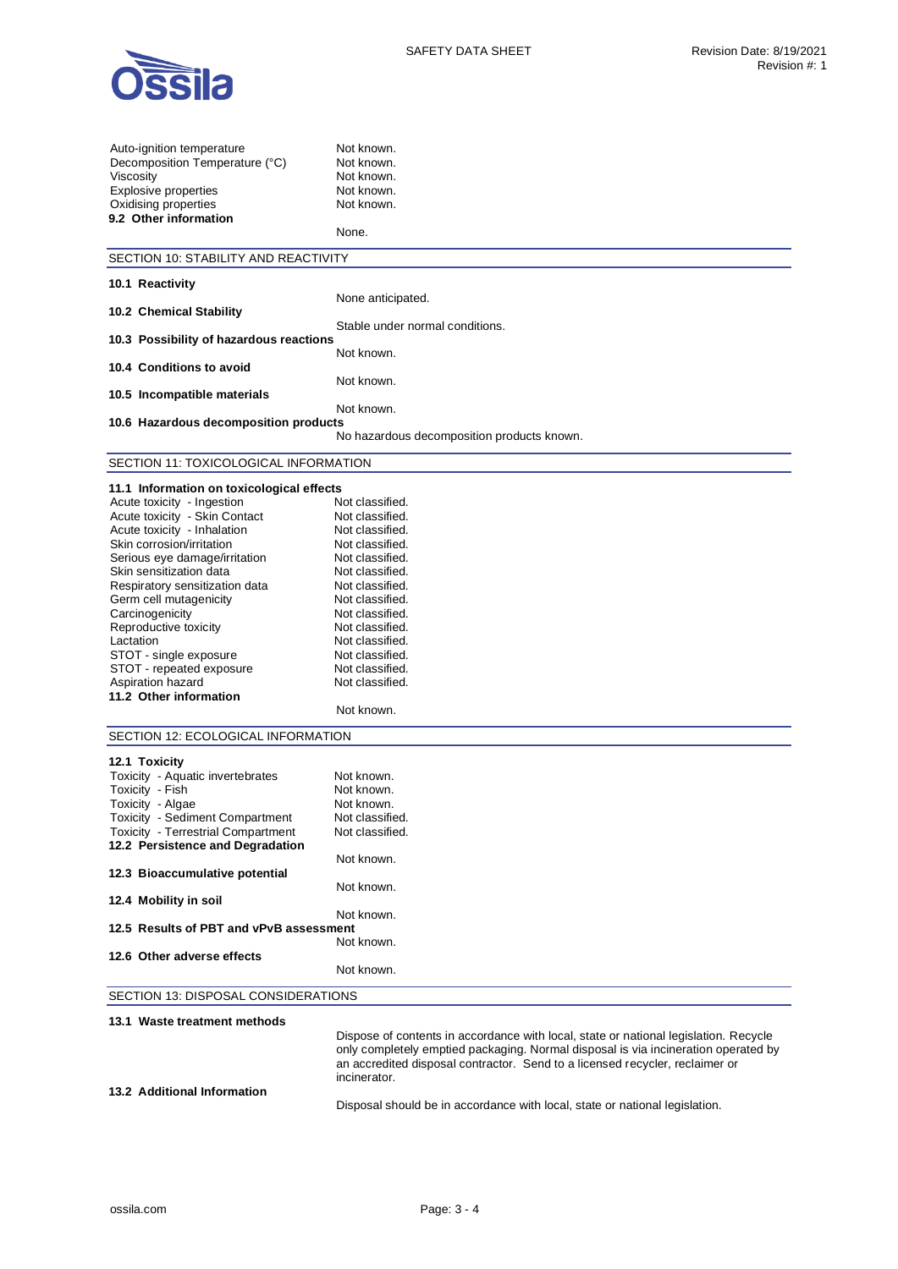

| Auto-ignition temperature<br>Decomposition Temperature (°C)<br>Viscosity<br><b>Explosive properties</b><br>Oxidising properties<br>9.2 Other information | Not known.<br>Not known.<br>Not known.<br>Not known.<br>Not known.<br>None.                                                                                                                                                                                |  |
|----------------------------------------------------------------------------------------------------------------------------------------------------------|------------------------------------------------------------------------------------------------------------------------------------------------------------------------------------------------------------------------------------------------------------|--|
| SECTION 10: STABILITY AND REACTIVITY                                                                                                                     |                                                                                                                                                                                                                                                            |  |
| 10.1 Reactivity                                                                                                                                          |                                                                                                                                                                                                                                                            |  |
|                                                                                                                                                          | None anticipated.                                                                                                                                                                                                                                          |  |
| 10.2 Chemical Stability                                                                                                                                  | Stable under normal conditions.                                                                                                                                                                                                                            |  |
| 10.3 Possibility of hazardous reactions                                                                                                                  |                                                                                                                                                                                                                                                            |  |
|                                                                                                                                                          | Not known.                                                                                                                                                                                                                                                 |  |
| 10.4 Conditions to avoid                                                                                                                                 | Not known.                                                                                                                                                                                                                                                 |  |
| 10.5 Incompatible materials                                                                                                                              |                                                                                                                                                                                                                                                            |  |
|                                                                                                                                                          | Not known.                                                                                                                                                                                                                                                 |  |
| 10.6 Hazardous decomposition products                                                                                                                    | No hazardous decomposition products known.                                                                                                                                                                                                                 |  |
|                                                                                                                                                          |                                                                                                                                                                                                                                                            |  |
| SECTION 11: TOXICOLOGICAL INFORMATION                                                                                                                    |                                                                                                                                                                                                                                                            |  |
| 11.1 Information on toxicological effects                                                                                                                |                                                                                                                                                                                                                                                            |  |
| Acute toxicity - Ingestion                                                                                                                               | Not classified.                                                                                                                                                                                                                                            |  |
| Acute toxicity - Skin Contact                                                                                                                            | Not classified.                                                                                                                                                                                                                                            |  |
| Acute toxicity - Inhalation                                                                                                                              | Not classified.                                                                                                                                                                                                                                            |  |
| Skin corrosion/irritation                                                                                                                                | Not classified.                                                                                                                                                                                                                                            |  |
| Serious eye damage/irritation                                                                                                                            | Not classified.                                                                                                                                                                                                                                            |  |
| Skin sensitization data                                                                                                                                  | Not classified.<br>Not classified.                                                                                                                                                                                                                         |  |
| Respiratory sensitization data<br>Germ cell mutagenicity                                                                                                 | Not classified.                                                                                                                                                                                                                                            |  |
| Carcinogenicity                                                                                                                                          | Not classified.                                                                                                                                                                                                                                            |  |
| Reproductive toxicity                                                                                                                                    | Not classified.                                                                                                                                                                                                                                            |  |
| Lactation                                                                                                                                                | Not classified.                                                                                                                                                                                                                                            |  |
| STOT - single exposure                                                                                                                                   | Not classified.                                                                                                                                                                                                                                            |  |
| STOT - repeated exposure                                                                                                                                 | Not classified.                                                                                                                                                                                                                                            |  |
| Aspiration hazard                                                                                                                                        | Not classified.                                                                                                                                                                                                                                            |  |
| 11.2 Other information                                                                                                                                   |                                                                                                                                                                                                                                                            |  |
|                                                                                                                                                          | Not known.                                                                                                                                                                                                                                                 |  |
| SECTION 12: ECOLOGICAL INFORMATION                                                                                                                       |                                                                                                                                                                                                                                                            |  |
|                                                                                                                                                          |                                                                                                                                                                                                                                                            |  |
| 12.1 Toxicity                                                                                                                                            |                                                                                                                                                                                                                                                            |  |
| Toxicity - Aquatic invertebrates                                                                                                                         | Not known.                                                                                                                                                                                                                                                 |  |
| Toxicity - Fish                                                                                                                                          | Not known.                                                                                                                                                                                                                                                 |  |
| Toxicity - Algae<br>Toxicity - Sediment Compartment                                                                                                      | Not known.<br>Not classified.                                                                                                                                                                                                                              |  |
| <b>Toxicity - Terrestrial Compartment</b>                                                                                                                | Not classified.                                                                                                                                                                                                                                            |  |
| 12.2 Persistence and Degradation                                                                                                                         |                                                                                                                                                                                                                                                            |  |
|                                                                                                                                                          | Not known.                                                                                                                                                                                                                                                 |  |
| 12.3 Bioaccumulative potential                                                                                                                           |                                                                                                                                                                                                                                                            |  |
|                                                                                                                                                          | Not known.                                                                                                                                                                                                                                                 |  |
| 12.4 Mobility in soil                                                                                                                                    |                                                                                                                                                                                                                                                            |  |
| 12.5 Results of PBT and vPvB assessment                                                                                                                  | Not known.                                                                                                                                                                                                                                                 |  |
|                                                                                                                                                          | Not known.                                                                                                                                                                                                                                                 |  |
| 12.6 Other adverse effects                                                                                                                               |                                                                                                                                                                                                                                                            |  |
|                                                                                                                                                          | Not known.                                                                                                                                                                                                                                                 |  |
| SECTION 13: DISPOSAL CONSIDERATIONS                                                                                                                      |                                                                                                                                                                                                                                                            |  |
|                                                                                                                                                          |                                                                                                                                                                                                                                                            |  |
| 13.1 Waste treatment methods                                                                                                                             |                                                                                                                                                                                                                                                            |  |
|                                                                                                                                                          | Dispose of contents in accordance with local, state or national legislation. Recycle<br>only completely emptied packaging. Normal disposal is via incineration operated by<br>an accredited disposal contractor. Send to a licensed recycler, reclaimer or |  |

Disposal should be in accordance with local, state or national legislation.

incinerator.